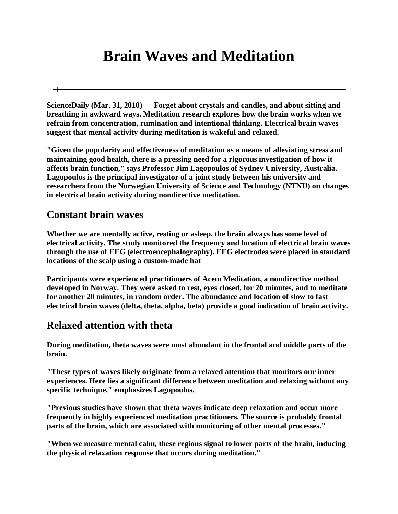# **Brain Waves and Meditation**

**ScienceDaily (Mar. 31, 2010) — Forget about crystals and candles, and about sitting and breathing in awkward ways. Meditation research explores how the brain works when we refrain from concentration, rumination and intentional thinking. Electrical brain waves suggest that mental activity during meditation is wakeful and relaxed.**

**"Given the popularity and effectiveness of meditation as a means of alleviating stress and maintaining good health, there is a pressing need for a rigorous investigation of how it affects brain function," says Professor Jim Lagopoulos of Sydney University, Australia. Lagopoulos is the principal investigator of a joint study between his university and researchers from the Norwegian University of Science and Technology (NTNU) on changes in electrical brain activity during nondirective meditation.**

#### **Constant brain waves**

 $\pm$ 

**Whether we are mentally active, resting or asleep, the brain always has some level of electrical activity. The study monitored the frequency and location of electrical brain waves through the use of EEG (electroencephalography). EEG electrodes were placed in standard locations of the scalp using a custom-made hat**

**Participants were experienced practitioners of Acem Meditation, a nondirective method developed in Norway. They were asked to rest, eyes closed, for 20 minutes, and to meditate for another 20 minutes, in random order. The abundance and location of slow to fast electrical brain waves (delta, theta, alpha, beta) provide a good indication of brain activity.**

### **Relaxed attention with theta**

**During meditation, theta waves were most abundant in the frontal and middle parts of the brain.**

**"These types of waves likely originate from a relaxed attention that monitors our inner experiences. Here lies a significant difference between meditation and relaxing without any specific technique," emphasizes Lagopoulos.**

**"Previous studies have shown that theta waves indicate deep relaxation and occur more frequently in highly experienced meditation practitioners. The source is probably frontal parts of the brain, which are associated with monitoring of other mental processes."**

**"When we measure mental calm, these regions signal to lower parts of the brain, inducing the physical relaxation response that occurs during meditation."**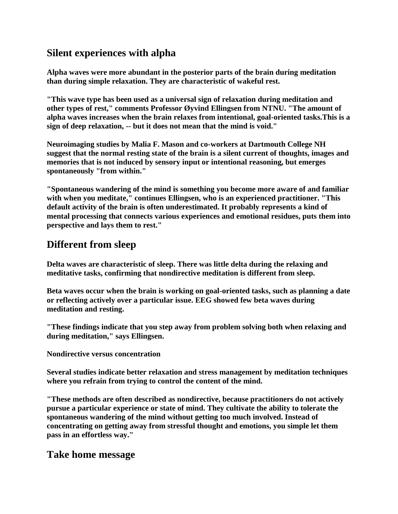## **Silent experiences with alpha**

**Alpha waves were more abundant in the posterior parts of the brain during meditation than during simple relaxation. They are characteristic of wakeful rest.**

**"This wave type has been used as a universal sign of relaxation during meditation and other types of rest," comments Professor Øyvind Ellingsen from NTNU. "The amount of alpha waves increases when the brain relaxes from intentional, goal-oriented tasks.This is a sign of deep relaxation, -- but it does not mean that the mind is void."**

**Neuroimaging studies by Malia F. Mason and co-workers at Dartmouth College NH suggest that the normal resting state of the brain is a silent current of thoughts, images and memories that is not induced by sensory input or intentional reasoning, but emerges spontaneously "from within."**

**"Spontaneous wandering of the mind is something you become more aware of and familiar with when you meditate," continues Ellingsen, who is an experienced practitioner. "This default activity of the brain is often underestimated. It probably represents a kind of mental processing that connects various experiences and emotional residues, puts them into perspective and lays them to rest."**

## **Different from sleep**

**Delta waves are characteristic of sleep. There was little delta during the relaxing and meditative tasks, confirming that nondirective meditation is different from sleep.**

**Beta waves occur when the brain is working on goal-oriented tasks, such as planning a date or reflecting actively over a particular issue. EEG showed few beta waves during meditation and resting.**

**"These findings indicate that you step away from problem solving both when relaxing and during meditation," says Ellingsen.**

**Nondirective versus concentration**

**Several studies indicate better relaxation and stress management by meditation techniques where you refrain from trying to control the content of the mind.**

**"These methods are often described as nondirective, because practitioners do not actively pursue a particular experience or state of mind. They cultivate the ability to tolerate the spontaneous wandering of the mind without getting too much involved. Instead of concentrating on getting away from stressful thought and emotions, you simple let them pass in an effortless way."**

#### **Take home message**